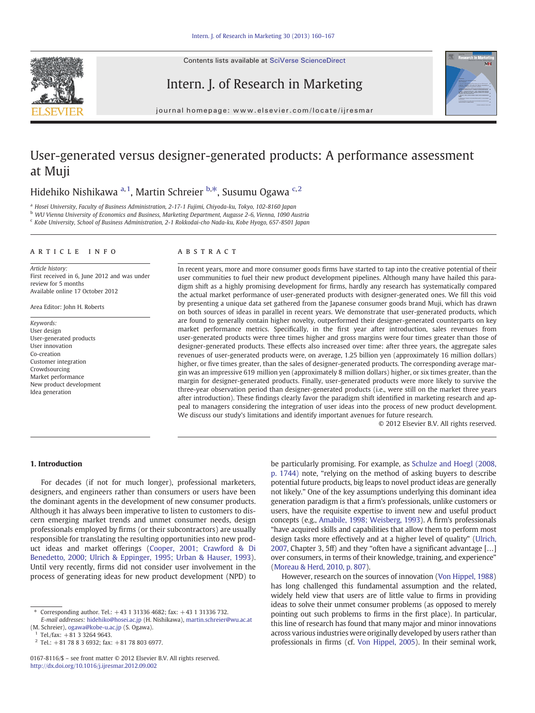Contents lists available at SciVerse ScienceDirect







journal homepage: www.elsevier.com/locate/ijresmar

# User-generated versus designer-generated products: A performance assessment at Muji

## Hidehiko Nishikawa <sup>a, 1</sup>, Martin Schreier <sup>b,\*</sup>, Susumu Ogawa <sup>c,2</sup>

<sup>a</sup> Hosei University, Faculty of Business Administration, 2-17-1 Fujimi, Chiyoda-ku, Tokyo, 102-8160 Japan

<sup>b</sup> WU Vienna University of Economics and Business, Marketing Department, Augasse 2-6, Vienna, 1090 Austria

<sup>c</sup> Kobe University, School of Business Administration, 2-1 Rokkodai-cho Nada-ku, Kobe Hyogo, 657-8501 Japan

#### article info abstract

Article history: First received in 6, June 2012 and was under review for 5 months Available online 17 October 2012

Area Editor: John H. Roberts

Keywords: User design User-generated products User innovation Co-creation Customer integration Crowdsourcing Market performance New product development Idea generation

In recent years, more and more consumer goods firms have started to tap into the creative potential of their user communities to fuel their new product development pipelines. Although many have hailed this paradigm shift as a highly promising development for firms, hardly any research has systematically compared the actual market performance of user-generated products with designer-generated ones. We fill this void by presenting a unique data set gathered from the Japanese consumer goods brand Muji, which has drawn on both sources of ideas in parallel in recent years. We demonstrate that user-generated products, which are found to generally contain higher novelty, outperformed their designer-generated counterparts on key market performance metrics. Specifically, in the first year after introduction, sales revenues from user-generated products were three times higher and gross margins were four times greater than those of designer-generated products. These effects also increased over time: after three years, the aggregate sales revenues of user-generated products were, on average, 1.25 billion yen (approximately 16 million dollars) higher, or five times greater, than the sales of designer-generated products. The corresponding average margin was an impressive 619 million yen (approximately 8 million dollars) higher, or six times greater, than the margin for designer-generated products. Finally, user-generated products were more likely to survive the three-year observation period than designer-generated products (i.e., were still on the market three years after introduction). These findings clearly favor the paradigm shift identified in marketing research and appeal to managers considering the integration of user ideas into the process of new product development. We discuss our study's limitations and identify important avenues for future research.

© 2012 Elsevier B.V. All rights reserved.

### 1. Introduction

For decades (if not for much longer), professional marketers, designers, and engineers rather than consumers or users have been the dominant agents in the development of new consumer products. Although it has always been imperative to listen to customers to discern emerging market trends and unmet consumer needs, design professionals employed by firms (or their subcontractors) are usually responsible for translating the resulting opportunities into new product ideas and market offerings ([Cooper, 2001; Crawford & Di](#page--1-0) [Benedetto, 2000; Ulrich & Eppinger, 1995; Urban & Hauser, 1993](#page--1-0)). Until very recently, firms did not consider user involvement in the process of generating ideas for new product development (NPD) to

E-mail addresses: [hidehiko@hosei.ac.jp](mailto:hidehiko@hosei.ac.jp) (H. Nishikawa), [martin.schreier@wu.ac.at](mailto:martin.schreier@wu.ac.at) (M. Schreier), [ogawa@kobe-u.ac.jp](mailto:ogawa@kobe-u.ac.jp) (S. Ogawa).

be particularly promising. For example, as [Schulze and Hoegl \(2008,](#page--1-0) [p. 1744\)](#page--1-0) note, "relying on the method of asking buyers to describe potential future products, big leaps to novel product ideas are generally not likely." One of the key assumptions underlying this dominant idea generation paradigm is that a firm's professionals, unlike customers or users, have the requisite expertise to invent new and useful product concepts (e.g., [Amabile, 1998; Weisberg, 1993\)](#page--1-0). A firm's professionals "have acquired skills and capabilities that allow them to perform most design tasks more effectively and at a higher level of quality" [\(Ulrich,](#page--1-0) [2007,](#page--1-0) Chapter 3, 5ff) and they "often have a significant advantage […] over consumers, in terms of their knowledge, training, and experience" [\(Moreau & Herd, 2010, p. 807](#page--1-0)).

However, research on the sources of innovation [\(Von Hippel, 1988](#page--1-0)) has long challenged this fundamental assumption and the related, widely held view that users are of little value to firms in providing ideas to solve their unmet consumer problems (as opposed to merely pointing out such problems to firms in the first place). In particular, this line of research has found that many major and minor innovations across various industries were originally developed by users rather than professionals in firms (cf. [Von Hippel, 2005](#page--1-0)). In their seminal work,

<sup>⁎</sup> Corresponding author. Tel.: +43 1 31336 4682; fax: +43 1 31336 732.

 $1$  Tel./fax:  $+81$  3 3264 9643.

 $2$  Tel.: +81 78 8 3 6932; fax: +81 78 803 6977.

<sup>0167-8116/\$</sup> – see front matter © 2012 Elsevier B.V. All rights reserved. <http://dx.doi.org/10.1016/j.ijresmar.2012.09.002>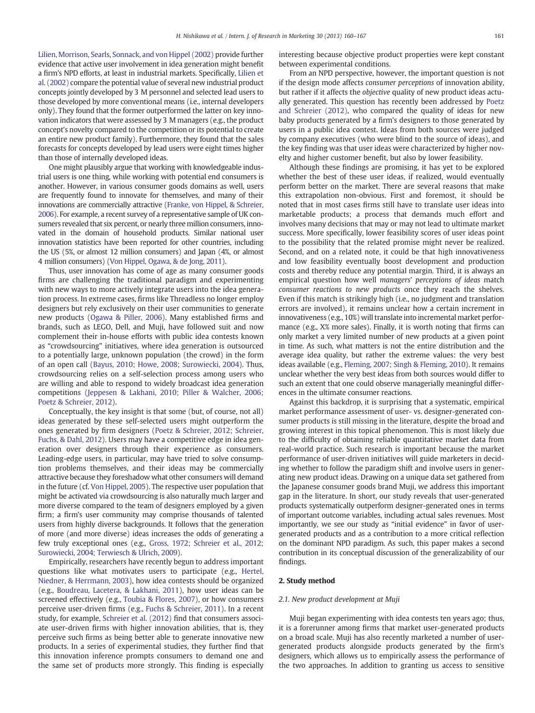[Lilien, Morrison, Searls, Sonnack, and von Hippel \(2002\)](#page--1-0) provide further evidence that active user involvement in idea generation might benefit a firm's NPD efforts, at least in industrial markets. Specifically, [Lilien et](#page--1-0) [al. \(2002\)](#page--1-0) compare the potential value of several new industrial product concepts jointly developed by 3 M personnel and selected lead users to those developed by more conventional means (i.e., internal developers only). They found that the former outperformed the latter on key innovation indicators that were assessed by 3 M managers (e.g., the product concept's novelty compared to the competition or its potential to create an entire new product family). Furthermore, they found that the sales forecasts for concepts developed by lead users were eight times higher than those of internally developed ideas.

One might plausibly argue that working with knowledgeable industrial users is one thing, while working with potential end consumers is another. However, in various consumer goods domains as well, users are frequently found to innovate for themselves, and many of their innovations are commercially attractive [\(Franke, von Hippel, & Schreier,](#page--1-0) [2006\)](#page--1-0). For example, a recent survey of a representative sample of UK consumers revealed that six percent, or nearly three million consumers, innovated in the domain of household products. Similar national user innovation statistics have been reported for other countries, including the US (5%, or almost 12 million consumers) and Japan (4%, or almost 4 million consumers) [\(Von Hippel, Ogawa, & de Jong, 2011](#page--1-0)).

Thus, user innovation has come of age as many consumer goods firms are challenging the traditional paradigm and experimenting with new ways to more actively integrate users into the idea generation process. In extreme cases, firms like Threadless no longer employ designers but rely exclusively on their user communities to generate new products ([Ogawa & Piller, 2006](#page--1-0)). Many established firms and brands, such as LEGO, Dell, and Muji, have followed suit and now complement their in-house efforts with public idea contests known as "crowdsourcing" initiatives, where idea generation is outsourced to a potentially large, unknown population (the crowd) in the form of an open call ([Bayus, 2010; Howe, 2008; Surowiecki, 2004](#page--1-0)). Thus, crowdsourcing relies on a self-selection process among users who are willing and able to respond to widely broadcast idea generation competitions ([Jeppesen & Lakhani, 2010; Piller & Walcher, 2006;](#page--1-0) [Poetz & Schreier, 2012\)](#page--1-0).

Conceptually, the key insight is that some (but, of course, not all) ideas generated by these self-selected users might outperform the ones generated by firm designers ([Poetz & Schreier, 2012; Schreier,](#page--1-0) [Fuchs, & Dahl, 2012](#page--1-0)). Users may have a competitive edge in idea generation over designers through their experience as consumers. Leading-edge users, in particular, may have tried to solve consumption problems themselves, and their ideas may be commercially attractive because they foreshadow what other consumers will demand in the future (cf. [Von Hippel, 2005](#page--1-0)). The respective user population that might be activated via crowdsourcing is also naturally much larger and more diverse compared to the team of designers employed by a given firm; a firm's user community may comprise thousands of talented users from highly diverse backgrounds. It follows that the generation of more (and more diverse) ideas increases the odds of generating a few truly exceptional ones (e.g., [Gross, 1972; Schreier et al., 2012;](#page--1-0) [Surowiecki, 2004; Terwiesch & Ulrich, 2009](#page--1-0)).

Empirically, researchers have recently begun to address important questions like what motivates users to participate (e.g., [Hertel,](#page--1-0) [Niedner, & Herrmann, 2003\)](#page--1-0), how idea contests should be organized (e.g., [Boudreau, Lacetera, & Lakhani, 2011\)](#page--1-0), how user ideas can be screened effectively (e.g., [Toubia & Flores, 2007](#page--1-0)), or how consumers perceive user-driven firms (e.g., [Fuchs & Schreier, 2011](#page--1-0)). In a recent study, for example, [Schreier et al. \(2012\)](#page--1-0) find that consumers associate user-driven firms with higher innovation abilities, that is, they perceive such firms as being better able to generate innovative new products. In a series of experimental studies, they further find that this innovation inference prompts consumers to demand one and the same set of products more strongly. This finding is especially interesting because objective product properties were kept constant between experimental conditions.

From an NPD perspective, however, the important question is not if the design mode affects consumer perceptions of innovation ability, but rather if it affects the objective quality of new product ideas actually generated. This question has recently been addressed by [Poetz](#page--1-0) [and Schreier \(2012\),](#page--1-0) who compared the quality of ideas for new baby products generated by a firm's designers to those generated by users in a public idea contest. Ideas from both sources were judged by company executives (who were blind to the source of ideas), and the key finding was that user ideas were characterized by higher novelty and higher customer benefit, but also by lower feasibility.

Although these findings are promising, it has yet to be explored whether the best of these user ideas, if realized, would eventually perform better on the market. There are several reasons that make this extrapolation non-obvious. First and foremost, it should be noted that in most cases firms still have to translate user ideas into marketable products; a process that demands much effort and involves many decisions that may or may not lead to ultimate market success. More specifically, lower feasibility scores of user ideas point to the possibility that the related promise might never be realized. Second, and on a related note, it could be that high innovativeness and low feasibility eventually boost development and production costs and thereby reduce any potential margin. Third, it is always an empirical question how well managers' perceptions of ideas match consumer reactions to new products once they reach the shelves. Even if this match is strikingly high (i.e., no judgment and translation errors are involved), it remains unclear how a certain increment in innovativeness (e.g., 10%) will translate into incremental market performance (e.g., X% more sales). Finally, it is worth noting that firms can only market a very limited number of new products at a given point in time. As such, what matters is not the entire distribution and the average idea quality, but rather the extreme values: the very best ideas available (e.g., [Fleming, 2007; Singh & Fleming, 2010](#page--1-0)). It remains unclear whether the very best ideas from both sources would differ to such an extent that one could observe managerially meaningful differences in the ultimate consumer reactions.

Against this backdrop, it is surprising that a systematic, empirical market performance assessment of user- vs. designer-generated consumer products is still missing in the literature, despite the broad and growing interest in this topical phenomenon. This is most likely due to the difficulty of obtaining reliable quantitative market data from real-world practice. Such research is important because the market performance of user-driven initiatives will guide marketers in deciding whether to follow the paradigm shift and involve users in generating new product ideas. Drawing on a unique data set gathered from the Japanese consumer goods brand Muji, we address this important gap in the literature. In short, our study reveals that user-generated products systematically outperform designer-generated ones in terms of important outcome variables, including actual sales revenues. Most importantly, we see our study as "initial evidence" in favor of usergenerated products and as a contribution to a more critical reflection on the dominant NPD paradigm. As such, this paper makes a second contribution in its conceptual discussion of the generalizability of our findings.

#### 2. Study method

#### 2.1. New product development at Muji

Muji began experimenting with idea contests ten years ago; thus, it is a forerunner among firms that market user-generated products on a broad scale. Muji has also recently marketed a number of usergenerated products alongside products generated by the firm's designers, which allows us to empirically assess the performance of the two approaches. In addition to granting us access to sensitive